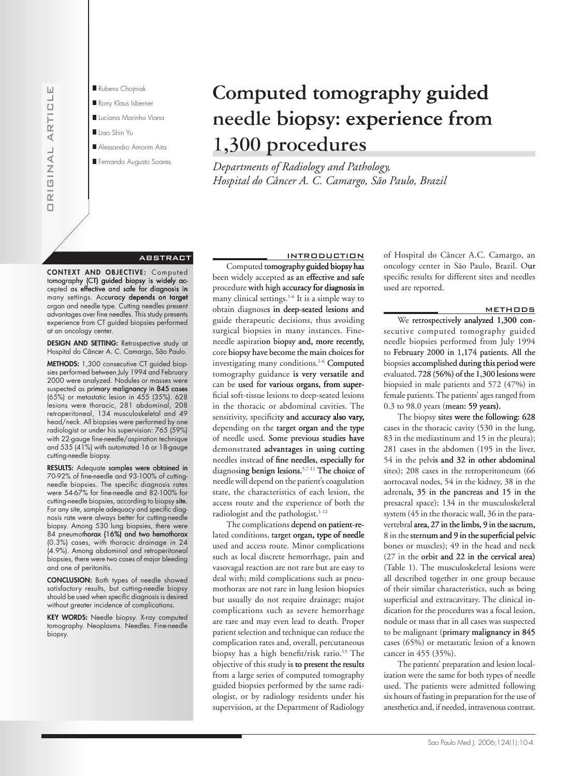

- Rubens Choiniak Rony Klaus Isberner Luciana Marinho Viana Iligo Shin Yu Alessandro Amorim Aita
- Fernando Augusto Soares

# Computed tomography guided needle biopsy: experience from 1,300 procedures

Departments of Radiology and Pathology, Hospital do Câncer A. C. Camargo, São Paulo, Brazil

## **ABSTRACT**

CONTEXT AND OBJECTIVE: Computed tomography (CT) guided biopsy is widely accepted as effective and safe for diagnosis in many settings. Accuracy depends on target organ and needle type. Cutting needles present<br>advantages over fine needles. This study presents experience from CT guided biopsies performed at an oncology center.

**DESIGN AND SETTING:** Retrospective study at Hospital do Câncer A. C. Camargo, São Paulo.

METHODS: 1,300 consecutive CT guided biopsies performed between July 1994 and February 2000 were analyzed. Nodules or masses were suspected as primary malignancy in 845 cases (65%) or metastatic lesion in 455 (35%). 628 lesions were thoracic, 281 abdominal, 208 retroperitoneal, 134 musculoskeletal and 49 head/neck. All biopsies were performed by one radiologist or under his supervision: 765 (59%) with 22-gauge fine-needle/aspiration technique and 535 (41%) with automated 16 or 18-gauge cutting-needle biopsy.

RESULTS: Adequate samples were obtained in 70-92% of fine-needle and 93-100% of cuttingneedle biopsies. The specific diagnosis rates were 54-67% for fine-needle and 82-100% for cutting-needle biopsies, according to biopsy site. For any site, sample adequacy and specific diagnois rate were always better for cutting-needle<br>biopsy. Among 530 lung biopsies, there were 84 pneumothorax (16%) and two hemothorax (0.3%) cases, with thoracic drainage in 24 (4.9%). Among abdominal and retroperitoneal biopsies, there were two cases of major bleeding and one of peritonitis.

**CONCLUSION:** Both types of needle showed<br>satisfactory results, but cutting-needle biopsy should be used when specific diagnosis is desired without greater incidence of complications.

KEY WORDS: Needle biopsy. X-ray computed tomography. Neoplasms. Needles. Fine-needle biopsy.

**INTRODUCTION** Computed tomography guided biopsy has been widely accepted as an effective and safe procedure with high accuracy for diagnosis in many clinical settings.<sup>1-6</sup> It is a simple way to obtain diagnoses in deep-seated lesions and guide therapeutic decisions, thus avoiding surgical biopsies in many instances. Fineneedle aspiration biopsy and, more recently, core biopsy have become the main choices for investigating many conditions.<sup>1-6</sup> Computed tomography guidance is very versatile and can be used for various organs, from superficial soft-tissue lesions to deep-seated lesions in the thoracic or abdominal cavities. The sensitivity, specificity and accuracy also vary, depending on the target organ and the type of needle used. Some previous studies have demonstrated advantages in using cutting needles instead of fine needles, especially for diagnosing benign lesions.<sup>5,7-11</sup> The choice of needle will depend on the patient's coagulation state, the characteristics of each lesion, the access route and the experience of both the radiologist and the pathologist.<sup>1-12</sup>

The complications depend on patient-related conditions, target organ, type of needle used and access route. Minor complications such as local discrete hemorrhage, pain and vasovagal reaction are not rare but are easy to deal with; mild complications such as pneumothorax are not rare in lung lesion biopsies but usually do not require drainage; major complications such as severe hemorrhage are rare and may even lead to death. Proper patient selection and technique can reduce the complication rates and, overall, percutaneous biopsy has a high benefit/risk ratio.<sup>13</sup> The objective of this study is to present the results from a large series of computed tomography guided biopsies performed by the same radiologist, or by radiology residents under his supervision, at the Department of Radiology of Hospital do Câncer A.C. Camargo, an oncology center in São Paulo, Brazil. Our specific results for different sites and needles used are reported.

#### **METHODS**

We retrospectively analyzed 1,300 consecutive computed tomography guided needle biopsies performed from July 1994 to February 2000 in 1,174 patients. All the biopsies accomplished during this period were evaluated. 728 (56%) of the 1,300 lesions were biopsied in male patients and 572 (47%) in female patients. The patients' ages ranged from 0.3 to 98.0 years (mean: 59 years).

The biopsy sites were the following: 628 cases in the thoracic cavity (530 in the lung, 83 in the mediastinum and 15 in the pleura); 281 cases in the abdomen (195 in the liver, 54 in the pelvis and 32 in other abdominal sites); 208 cases in the retroperitoneum (66 aortocaval nodes, 54 in the kidney, 38 in the adrenals, 35 in the pancreas and 15 in the presacral space); 134 in the musculoskeletal system (45 in the thoracic wall, 36 in the paravertebral area, 27 in the limbs, 9 in the sacrum, 8 in the sternum and 9 in the superficial pelvic bones or muscles); 49 in the head and neck (27 in the orbit and 22 in the cervical area) (Table 1). The musculoskeletal lesions were all described together in one group because of their similar characteristics, such as being superficial and extracavitary. The clinical indication for the procedures was a focal lesion, nodule or mass that in all cases was suspected to be malignant (primary malignancy in 845 cases (65%) or metastatic lesion of a known cancer in 455 (35%).

The patients' preparation and lesion localization were the same for both types of needle used. The patients were admitted following six hours of fasting in preparation for the use of anesthetics and, if needed, intravenous contrast.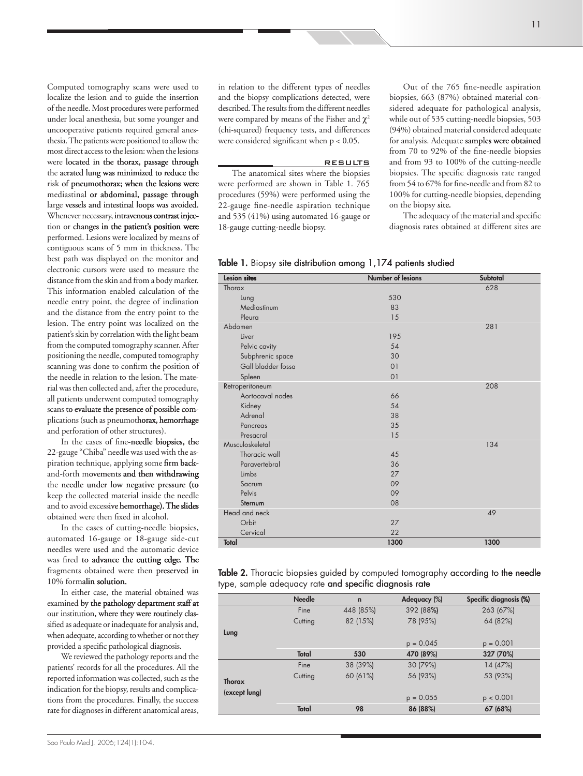Computed tomography scans were used to localize the lesion and to guide the insertion of the needle. Most procedures were performed under local anesthesia, but some younger and uncooperative patients required general anesthesia. The patients were positioned to allow the most direct access to the lesion: when the lesions were located in the thorax, passage through the aerated lung was minimized to reduce the risk of pneumothorax; when the lesions were mediastinal or abdominal, passage through large vessels and intestinal loops was avoided. Whenever necessary, intravenous contrast injection or changes in the patient's position were performed. Lesions were localized by means of contiguous scans of 5 mm in thickness. The best path was displayed on the monitor and electronic cursors were used to measure the distance from the skin and from a body marker. This information enabled calculation of the needle entry point, the degree of inclination and the distance from the entry point to the lesion. The entry point was localized on the patient's skin by correlation with the light beam from the computed tomography scanner. After positioning the needle, computed tomography scanning was done to confirm the position of the needle in relation to the lesion. The mate rial was then collected and, after the procedure, all patients underwent computed tomography scans to evaluate the presence of possible complications (such as pneumothorax, hemorrhage and perforation of other structures).

In the cases of fine-needle biopsies, the 22-gauge "Chiba" needle was used with the aspiration technique, applying some firm backand-forth movements and then withdrawing the needle under low negative pressure (to keep the collected material inside the needle and to avoid excessive hemorrhage). The slides obtained were then fixed in alcohol.

In the cases of cutting-needle biopsies, automated 16-gauge or 18-gauge side-cut needles were used and the automatic device was fired to advance the cutting edge. The fragments obtained were then preserved in 10% formalin solution.

In either case, the material obtained was examined by the pathology department staff at our institution, where they were routinely classified as adequate or inadequate for analysis and, when adequate, according to whether or not they provided a specific pathological diagnosis.

We reviewed the pathology reports and the patients' records for all the procedures. All the reported information was collected, such as the indication for the biopsy, results and complications from the procedures. Finally, the success rate for diagnoses in different anatomical areas,

in relation to the different types of needles and the biopsy complications detected, were described. The results from the different needles were compared by means of the Fisher and  $\gamma^2$ (chi-squared) frequency tests, and differences were considered significant when p < 0.05.

#### RESULTS

The anatomical sites where the biopsies were performed are shown in Table 1. 765 procedures (59%) were performed using the 22-gauge fine-needle aspiration technique and 535 (41%) using automated 16-gauge or 18-gauge cutting-needle biopsy.

Out of the 765 fine-needle aspiration biopsies, 663 (87%) obtained material con sidered adequate for pathological analysis, while out of 535 cutting-needle biopsies, 503 (94%) obtained material considered adequate for analysis. Adequate samples were obtained from 70 to 92% of the fine-needle biopsies and from 93 to 100% of the cutting-needle biopsies. The specific diagnosis rate ranged from 54 to 67% for fine-needle and from 82 to 100% for cutting-needle biopsies, depending on the biopsy site.

The adequacy of the material and specific diagnosis rates obtained at different sites are

## Table 1. Biopsy site distribution among 1,174 patients studied

| Lesion sites       | Number of lesions | Subtotal |
|--------------------|-------------------|----------|
| Thorax             |                   | 628      |
| Lung               | 530               |          |
| Mediastinum        | 83                |          |
| Pleura             | 15                |          |
| Abdomen            |                   | 281      |
| Liver              | 195               |          |
| Pelvic cavity      | 54                |          |
| Subphrenic space   | 30                |          |
| Gall bladder fossa | 01                |          |
| Spleen             | 01                |          |
| Retroperitoneum    |                   | 208      |
| Aortocaval nodes   | 66                |          |
| Kidney             | 54                |          |
| Adrenal            | 38                |          |
| Pancreas           | 35                |          |
| Presacral          | 15                |          |
| Musculoskeletal    |                   | 134      |
| Thoracic wall      | 45                |          |
| Paravertebral      | 36                |          |
| Limbs              | 27                |          |
| Sacrum             | 09                |          |
| Pelvis             | 09                |          |
| Sternum            | 08                |          |
| Head and neck      |                   | 49       |
| Orbit              | 27                |          |
| Cervical           | 22                |          |
| Total              | 1300              | 1300     |

Table 2. Thoracic biopsies guided by computed tomography according to the needle type, sample adequacy rate and specific diagnosis rate

|               | <b>Needle</b> | $\mathbf n$ | Adequacy (%) | Specific diagnosis (%) |
|---------------|---------------|-------------|--------------|------------------------|
|               | Fine          | 448 (85%)   | 392 (88%)    | 263 (67%)              |
|               | Cutting       | 82 (15%)    | 78 (95%)     | 64 (82%)               |
| Lung          |               |             |              |                        |
|               |               |             | $p = 0.045$  | $p = 0.001$            |
|               | Total         | 530         | 470 (89%)    | 327 (70%)              |
|               | Fine          | 38 (39%)    | 30 (79%)     | 14 (47%)               |
| Thorax        | Cutting       | 60 (61%)    | 56 (93%)     | 53 (93%)               |
|               |               |             |              |                        |
| (except lung) |               |             | $p = 0.055$  | p < 0.001              |
|               | Total         | 98          | 86 (88%)     | 67 (68%)               |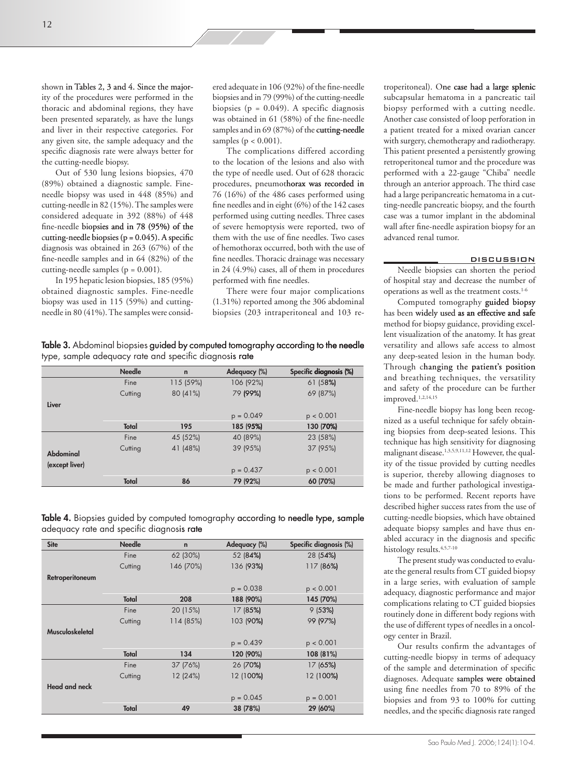shown in Tables 2, 3 and 4. Since the majority of the procedures were performed in the thoracic and abdominal regions, they have been presented separately, as have the lungs and liver in their respective categories. For any given site, the sample adequacy and the specific diagnosis rate were always better for the cutting-needle biopsy.

Out of 530 lung lesions biopsies, 470 (89%) obtained a diagnostic sample. Fineneedle biopsy was used in 448 (85%) and cutting-needle in 82 (15%). The samples were considered adequate in 392 (88%) of 448 fine-needle biopsies and in 78 (95%) of the cutting-needle biopsies ( $p = 0.045$ ). A specific diagnosis was obtained in 263 (67%) of the fine-needle samples and in 64 (82%) of the cutting-needle samples ( $p = 0.001$ ).

In 195 hepatic lesion biopsies, 185 (95%) obtained diagnostic samples. Fine-needle biopsy was used in 115 (59%) and cuttingneedle in 80 (41%). The samples were consid-

ered adequate in 106 (92%) of the fine-needle biopsies and in 79 (99%) of the cutting-needle biopsies ( $p = 0.049$ ). A specific diagnosis was obtained in 61 (58%) of the fine-needle samples and in 69 (87%) of the cutting-needle samples ( $p < 0.001$ ).

The complications differed according to the location of the lesions and also with the type of needle used. Out of 628 thoracic procedures, pneumothorax was recorded in 76 (16%) of the 486 cases performed using fine needles and in eight (6%) of the 142 cases performed using cutting needles. Three cases of severe hemoptysis were reported, two of them with the use of fine needles. Two cases of hemothorax occurred, both with the use of fine needles. Thoracic drainage was necessary in 24 (4.9%) cases, all of them in procedures performed with fine needles.

There were four major complications (1.31%) reported among the 306 abdominal biopsies (203 intraperitoneal and 103 re-

Table 3. Abdominal biopsies guided by computed tomography according to the needle type, sample adequacy rate and specific diagnosis rate

|                | <b>Needle</b> | $\mathbf n$ | Adequacy (%) | Specific diagnosis (%) |
|----------------|---------------|-------------|--------------|------------------------|
|                | Fine          | 115 (59%)   | 106 (92%)    | 61 (58%)               |
|                | Cutting       | 80 (41%)    | 79 (99%)     | 69 (87%)               |
| Liver          |               |             |              |                        |
|                |               |             | $p = 0.049$  | p < 0.001              |
|                | Total         | 195         | 185 (95%)    | 130 (70%)              |
|                | Fine          | 45 (52%)    | 40 (89%)     | 23 (58%)               |
| Abdominal      | Cutting       | 41 (48%)    | 39 (95%)     | 37 (95%)               |
|                |               |             |              |                        |
| (except liver) |               |             | $p = 0.437$  | p < 0.001              |
|                | Total         | 86          | 79 (92%)     | 60 (70%)               |

Table 4. Biopsies guided by computed tomography according to needle type, sample adequacy rate and specific diagnosis rate

| <b>Site</b>          | <b>Needle</b> | $\mathbf n$ | Adequacy (%) | Specific diagnosis (%) |
|----------------------|---------------|-------------|--------------|------------------------|
|                      | Fine          | 62 (30%)    | 52 (84%)     | 28 (54%)               |
|                      | Cutting       | 146 (70%)   | 136 (93%)    | 117 (86%)              |
| Retroperitoneum      |               |             |              |                        |
|                      |               |             | $p = 0.038$  | p < 0.001              |
|                      | Total         | 208         | 188 (90%)    | 145 (70%)              |
|                      | Fine          | 20 (15%)    | 17 (85%)     | 9(53%)                 |
|                      | Cutting       | 114 (85%)   | 103 (90%)    | 99 (97%)               |
| Musculoskeletal      |               |             |              |                        |
|                      |               |             | $p = 0.439$  | p < 0.001              |
|                      | Total         | 134         | 120 (90%)    | 108 (81%)              |
|                      | Fine          | 37 (76%)    | 26 (70%)     | 17 (65%)               |
|                      | Cutting       | 12 (24%)    | 12 (100%)    | 12 (100%)              |
| <b>Head and neck</b> |               |             |              |                        |
|                      |               |             | $p = 0.045$  | $p = 0.001$            |
|                      | Total         | 49          | 38 (78%)     | 29 (60%)               |

troperitoneal). One case had a large splenic subcapsular hematoma in a pancreatic tail biopsy performed with a cutting needle. Another case consisted of loop perforation in a patient treated for a mixed ovarian cancer with surgery, chemotherapy and radiotherapy. This patient presented a persistently growing retroperitoneal tumor and the procedure was performed with a 22-gauge "Chiba" needle through an anterior approach. The third case had a large peripancreatic hematoma in a cutting-needle pancreatic biopsy, and the fourth case was a tumor implant in the abdominal wall after fine-needle aspiration biopsy for an advanced renal tumor.

#### DISCUSSION

Needle biopsies can shorten the period of hospital stay and decrease the number of operations as well as the treatment costs. 1-6

Computed tomography guided biopsy has been widely used as an effective and safe method for biopsy guidance, providing excellent visualization of the anatomy. It has great versatility and allows safe access to almost any deep-seated lesion in the human body. Through changing the patient's position and breathing techniques, the versatility and safety of the procedure can be further improved.1,2,14,15

Fine-needle biopsy has long been recognized as a useful technique for safely obtain ing biopsies from deep-seated lesions. This technique has high sensitivity for diagnosing malignant disease.1,3,5,9,11,12 However, the qual ity of the tissue provided by cutting needles is superior, thereby allowing diagnoses to be made and further pathological investigations to be performed. Recent reports have described higher success rates from the use of cutting-needle biopsies, which have obtained adequate biopsy samples and have thus en abled accuracy in the diagnosis and specific histology results. 4,5,7-10

The present study was conducted to evalu ate the general results from CT guided biopsy in a large series, with evaluation of sample adequacy, diagnostic performance and major complications relating to CT guided biopsies routinely done in different body regions with the use of different types of needles in a oncology center in Brazil.

Our results confirm the advantages of cutting-needle biopsy in terms of adequacy of the sample and determination of specific diagnoses. Adequate samples were obtained using fine needles from 70 to 89% of the biopsies and from 93 to 100% for cutting needles, and the specific diagnosis rate ranged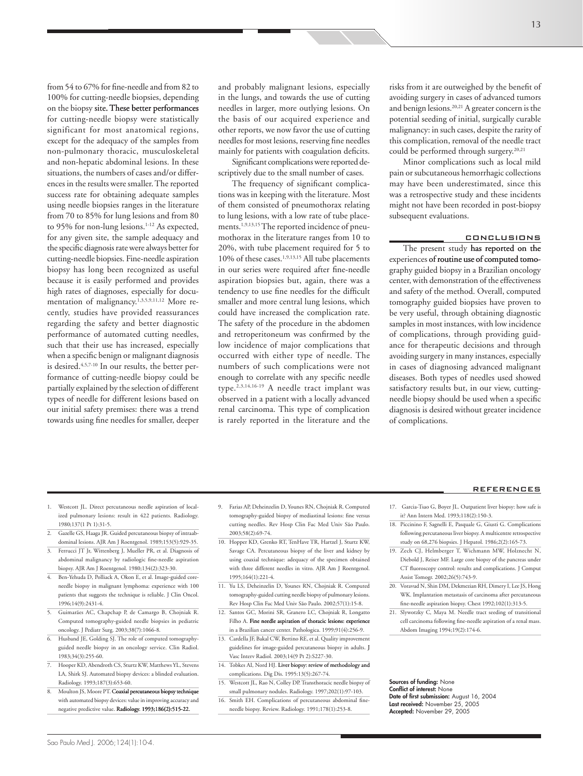from 54 to 67% for fine-needle and from 82 to 100% for cutting-needle biopsies, depending on the biopsy site. These better performances for cutting-needle biopsy were statistically significant for most anatomical regions, except for the adequacy of the samples from non-pulmonary thoracic, musculoskeletal and non-hepatic abdominal lesions. In these situations, the numbers of cases and/or differences in the results were smaller. The reported success rate for obtaining adequate samples using needle biopsies ranges in the literature from 70 to 85% for lung lesions and from 80 to 95% for non-lung lesions. 1-12 As expected, for any given site, the sample adequacy and the specific diagnosis rate were always better for cutting-needle biopsies. Fine-needle aspiration biopsy has long been recognized as useful because it is easily performed and provides high rates of diagnoses, especially for documentation of malignancy. 1,3,5,9,11,12 More recently, studies have provided reassurances regarding the safety and better diagnostic performance of automated cutting needles, such that their use has increased, especially when a specific benign or malignant diagnosis is desired.4,5,7-10 In our results, the better per formance of cutting-needle biopsy could be partially explained by the selection of different types of needle for different lesions based on our initial safety premises: there was a trend towards using fine needles for smaller, deeper

and probably malignant lesions, especially in the lungs, and towards the use of cutting needles in larger, more outlying lesions. On the basis of our acquired experience and other reports, we now favor the use of cutting needles for most lesions, reserving fine needles mainly for patients with coagulation deficits.

Significant complications were reported de scriptively due to the small number of cases.

The frequency of significant complications was in keeping with the literature. Most of them consisted of pneumothorax relating to lung lesions, with a low rate of tube placements. 1,9,13,15 The reported incidence of pneumothorax in the literature ranges from 10 to 20%, with tube placement required for 5 to 10% of these cases.<sup>1,9,13,15</sup> All tube placements in our series were required after fine-needle aspiration biopsies but, again, there was a tendency to use fine needles for the difficult smaller and more central lung lesions, which could have increased the complication rate. The safety of the procedure in the abdomen and retroperitoneum was confirmed by the low incidence of major complications that occurred with either type of needle. The numbers of such complications were not enough to correlate with any specific needle type.<sup>2,3,14,16-19</sup> A needle tract implant was observed in a patient with a locally advanced renal carcinoma. This type of complication is rarely reported in the literature and the risks from it are outweighed by the benefit of avoiding surgery in cases of advanced tumors and benign lesions. 20,21 A greater concern is the potential seeding of initial, surgically curable malignancy: in such cases, despite the rarity of this complication, removal of the needle tract could be performed through surgery. 20,21

Minor complications such as local mild pain or subcutaneous hemorrhagic collections may have been underestimated, since this was a retrospective study and these incidents might not have been recorded in post-biopsy subsequent evaluations.

## CONCLUSIONS

The present study has reported on the experiences of routine use of computed tomo graphy guided biopsy in a Brazilian oncology center, with demonstration of the effectiveness and safety of the method. Overall, computed tomography guided biopsies have proven to be very useful, through obtaining diagnostic samples in most instances, with low incidence of complications, through providing guid ance for therapeutic decisions and through avoiding surgery in many instances, especially in cases of diagnosing advanced malignant diseases. Both types of needles used showed satisfactory results but, in our view, cuttingneedle biopsy should be used when a specific diagnosis is desired without greater incidence of complications.

- 1. Westcott JL. Direct percutaneous needle aspiration of local ized pulmonary lesions: result in 422 patients. Radiology. 1980;137(1 Pt 1):31-5.
- 2. Gazelle GS, Haaga JR. Guided percutaneous biopsy of intraabdominal lesions. AJR Am J Roentgenol. 1989;153(5):929-35.
- 3. Ferrucci JT Jr, Wittenberg J, Mueller PR, et al. Diagnosis of abdominal malignancy by radiologic fine-needle aspiration biopsy. AJR Am J Roentgenol. 1980;134(2):323-30.
- 4. Ben-Yehuda D, Polliack A, Okon E, et al. Image-guided coreneedle biopsy in malignant lymphoma: experience with 100 patients that suggests the technique is reliable. J Clin Oncol. 1996;14(9):2431-4.
- 5. Guimarães AC, Chapchap P, de Camargo B, Chojniak R. Computed tomography-guided needle biopsies in pediatric oncology. J Pediatr Surg. 2003;38(7):1066-8.
- 6. Husband JE, Golding SJ. The role of computed tomography guided needle biopsy in an oncology service. Clin Radiol. 1983;34(3):255-60.
- 7. Hooper KD, Abendroth CS, Sturtz KW, Matthews YL, Stevens LA, Shirk SJ. Automated biopsy devices: a blinded evaluation. Radiology. 1993;187(3):653-60.
- Moulton JS, Moore PT. Coaxial percutaneous biopsy technique with automated biopsy devices: value in improving accuracy and negative predictive value. Radiology. 1993;186(2):515-22.
- 9. Farias AP, Deheinzelin D, Younes RN, Chojniak R. Computed tomography-guided biopsy of mediastinal lesions: fine versus cutting needles. Rev Hosp Clin Fac Med Univ São Paulo. 2003;58(2):69-74.
- 10. Hopper KD, Grenko RT, TenHave TR, Hartzel J, Sturtz KW, Savage CA. Percutaneous biopsy of the liver and kidney by using coaxial technique: adequacy of the specimen obtained with three different needles in vitro. AJR Am J Roentgenol. 1995;164(1):221-4.
- 11. Yu LS, Deheinzelin D, Younes RN, Chojniak R. Computed tomography-guided cutting needle biopsy of pulmonary lesions. Rev Hosp Clin Fac Med Univ São Paulo. 2002;57(1):15-8.
- 12. Santos GC, Morini SR, Granero LC, Chojniak R, Longatto Filho A. Fine needle aspiration of thoracic lesions: experience in a Brazilian cancer center. Pathologica. 1999;91(4):256-9.
- 13. Cardella JF, Bakal CW, Bertino RE, et al. Quality improvement guidelines for image-guided percutaneous biopsy in adults. J
- Vasc Interv Radiol. 2003;14(9 Pt 2):S227-30. 14. Tobkes AI, Nord HJ. Liver biopsy: review of methodology and complications. Dig Dis. 1995:13(5):267-74.
- 15. Westcott JL, Rao N, Colley DP. Transthoracic needle biopsy of small pulmonary nodules. Radiology. 1997;202(1):97-103.
- 16. Smith EH. Complications of percutaneous abdominal fineneedle biopsy. Review. Radiology. 1991;178(1):253-8.
- REFERENCES
- 17. Garcia-Tsao G, Boyer JL. Outpatient liver biopsy: how safe is it? Ann Intern Med. 1993;118(2):150-3.
- 18. Piccinino F, Sagnelli E, Pasquale G, Giusti G. Complications following percutaneous liver biopsy. A multicentre retrospective study on 68,276 biopsies. J Hepatol. 1986;2(2):165-73.
- 19. Zech CJ, Helmberger T, Wichmann MW, Holznecht N, Diebold J, Reiser MF. Large core biopsy of the pancreas under CT fluoroscopy control: results and complications. J Comput Assist Tomogr. 2002;26(5):743-9.
- 20. Voravud N, Shin DM, Dekmezian RH, Dimery I, Lee JS, Hong WK. Implantation metastasis of carcinoma after percutaneous fine-needle aspiration biopsy. Chest 1992;102(1):313-5.
- 21. Slywotzky C, Maya M. Needle tract seeding of transitional cell carcinoma following fine-needle aspiration of a renal mass. Abdom Imaging 1994;19(2):174-6.

Sources of funding: None Conflict of interest: None Date of first submission: August 16, 2004<br>Last received: November 25, 2005 Accepted: November 29, 2005